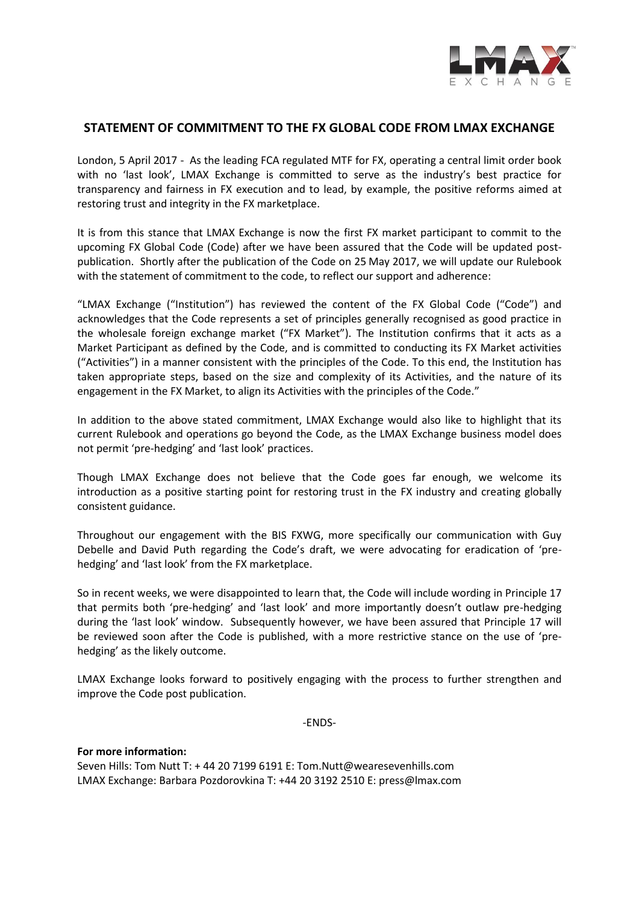

## **STATEMENT OF COMMITMENT TO THE FX GLOBAL CODE FROM LMAX EXCHANGE**

London, 5 April 2017 - As the leading FCA regulated MTF for FX, operating a central limit order book with no 'last look', LMAX Exchange is committed to serve as the industry's best practice for transparency and fairness in FX execution and to lead, by example, the positive reforms aimed at restoring trust and integrity in the FX marketplace.

It is from this stance that LMAX Exchange is now the first FX market participant to commit to the upcoming FX Global Code (Code) after we have been assured that the Code will be updated postpublication. Shortly after the publication of the Code on 25 May 2017, we will update our Rulebook with the statement of commitment to the code, to reflect our support and adherence:

"LMAX Exchange ("Institution") has reviewed the content of the FX Global Code ("Code") and acknowledges that the Code represents a set of principles generally recognised as good practice in the wholesale foreign exchange market ("FX Market"). The Institution confirms that it acts as a Market Participant as defined by the Code, and is committed to conducting its FX Market activities ("Activities") in a manner consistent with the principles of the Code. To this end, the Institution has taken appropriate steps, based on the size and complexity of its Activities, and the nature of its engagement in the FX Market, to align its Activities with the principles of the Code."

In addition to the above stated commitment, LMAX Exchange would also like to highlight that its current Rulebook and operations go beyond the Code, as the LMAX Exchange business model does not permit 'pre-hedging' and 'last look' practices.

Though LMAX Exchange does not believe that the Code goes far enough, we welcome its introduction as a positive starting point for restoring trust in the FX industry and creating globally consistent guidance.

Throughout our engagement with the BIS FXWG, more specifically our communication with Guy Debelle and David Puth regarding the Code's draft, we were advocating for eradication of 'prehedging' and 'last look' from the FX marketplace.

So in recent weeks, we were disappointed to learn that, the Code will include wording in Principle 17 that permits both 'pre-hedging' and 'last look' and more importantly doesn't outlaw pre-hedging during the 'last look' window. Subsequently however, we have been assured that Principle 17 will be reviewed soon after the Code is published, with a more restrictive stance on the use of 'prehedging' as the likely outcome.

LMAX Exchange looks forward to positively engaging with the process to further strengthen and improve the Code post publication.

-ENDS-

**For more information:** Seven Hills: Tom Nutt T: + 44 20 7199 6191 E: Tom.Nutt@wearesevenhills.com LMAX Exchange: Barbara Pozdorovkina T: +44 20 3192 2510 E: press@lmax.com